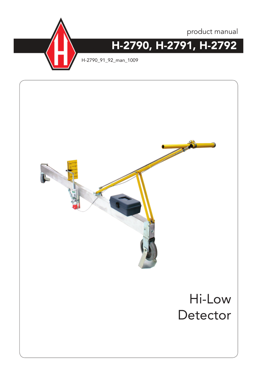



H-2790\_91\_92\_man\_1009

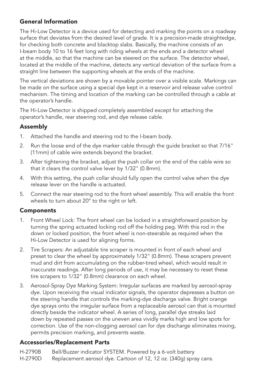## General Information

The Hi-Low Detector is a device used for detecting and marking the points on a roadway surface that deviates from the desired level of grade. It is a precision-made straightedge, for checking both concrete and blacktop slabs. Basically, the machine consists of an I-beam body 10 to 16 feet long with riding wheels at the ends and a detector wheel at the middle, so that the machine can be steered on the surface. The detector wheel, located at the middle of the machine, detects any vertical deviation of the surface from a straight line between the supporting wheels at the ends of the machine.

The vertical deviations are shown by a movable pointer over a visible scale. Markings can be made on the surface using a special dye kept in a reservoir and release valve control mechanism. The timing and location of the marking can be controlled through a cable at the operator's handle.

The Hi-Low Detector is shipped completely assembled except for attaching the operator's handle, rear steering rod, and dye release cable.

# Assembly

- 1. Attached the handle and steering rod to the I-beam body.
- 2. Run the loose end of the dye marker cable through the guide bracket so that 7/16" (11mm) of cable wire extends beyond the bracket.
- 3. After tightening the bracket, adjust the push collar on the end of the cable wire so that it clears the control valve lever by 1/32" (0.8mm).
- 4. With this setting, the push collar should fully open the control valve when the dye release lever on the handle is actuated.
- 5. Connect the rear steering rod to the front wheel assembly. This will enable the front wheels to turn about 20° to the right or left.

## **Components**

- 1. Front Wheel Lock: The front wheel can be locked in a straightforward position by turning the spring actuated locking rod off the holding peg. With this rod in the down or locked position, the front wheel is non-steerable as required when the Hi-Low Detector is used for aligning forms.
- 2. Tire Scrapers: An adjustable tire scraper is mounted in front of each wheel and preset to clear the wheel by approximately 1/32" (0.8mm). These scrapers prevent mud and dirt from accumulating on the rubber-tired wheel, which would result in inaccurate readings. After long periods of use, it may be necessary to reset these tire scrapers to 1/32" (0.8mm) clearance on each wheel.
- 3. Aerosol-Spray Dye Marking System: Irregular surfaces are marked by aerosol-spray dye. Upon receiving the visual indicator signals, the operator depresses a button on the steering handle that controls the marking-dye discharge valve. Bright orange dye sprays onto the irregular surface from a replaceable aerosol can that is mounted directly beside the indicator wheel. A series of long, parallel dye streaks laid down by repeated passes on the uneven area vividly marks high and low spots for correction. Use of the non-clogging aerosol can for dye discharge eliminates mixing, permits precision marking, and prevents waste.

## Accessories/Replacement Parts

H-2790B Bell/Buzzer indicator SYSTEM. Powered by a 6-volt battery

H-2790D Replacement aerosol dye. Cartoon of 12, 12 oz. (340g) spray cans.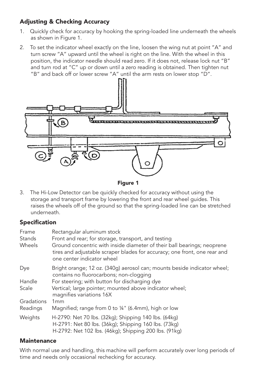# Adjusting & Checking Accuracy

- 1. Quickly check for accuracy by hooking the spring-loaded line underneath the wheels as shown in Figure 1.
- 2. To set the indicator wheel exactly on the line, loosen the wing nut at point "A" and turn screw "A" upward until the wheel is right on the line. With the wheel in this position, the indicator needle should read zero. If it does not, release lock nut "B" and turn rod at "C" up or down until a zero reading is obtained. Then tighten nut "B" and back off or lower screw "A" until the arm rests on lower stop "D".



Figure 1

3. The Hi-Low Detector can be quickly checked for accuracy without using the storage and transport frame by lowering the front and rear wheel guides. This raises the wheels off of the ground so that the spring-loaded line can be stretched underneath.

## Specification

| Frame<br>Stands<br>Wheels | Rectangular aluminum stock<br>Front and rear; for storage, transport, and testing<br>Ground concentric with inside diameter of their ball bearings; neoprene<br>tires and adjustable scraper blades for accuracy; one front, one rear and |
|---------------------------|-------------------------------------------------------------------------------------------------------------------------------------------------------------------------------------------------------------------------------------------|
|                           | one center indicator wheel                                                                                                                                                                                                                |
| Dye                       | Bright orange; 12 oz. (340g) aerosol can; mounts beside indicator wheel;<br>contains no fluorocarbons; non-clogging                                                                                                                       |
| Handle                    | For steering; with button for discharging dye                                                                                                                                                                                             |
| Scale                     | Vertical; large pointer; mounted above indicator wheel;<br>magnifies variations 16X                                                                                                                                                       |
| Gradations                | 1 <sub>mm</sub>                                                                                                                                                                                                                           |
| Readings                  | Magnified; range from 0 to 1/4" (6.4mm), high or low                                                                                                                                                                                      |
| Weights                   | H-2790: Net 70 lbs. (32kg); Shipping 140 lbs. (64kg)<br>H-2791: Net 80 lbs. (36kg); Shipping 160 lbs. (73kg)<br>H-2792: Net 102 lbs. (46kg); Shipping 200 lbs. (91kg)                                                                     |

## **Maintenance**

With normal use and handling, this machine will perform accurately over long periods of time and needs only occasional rechecking for accuracy.